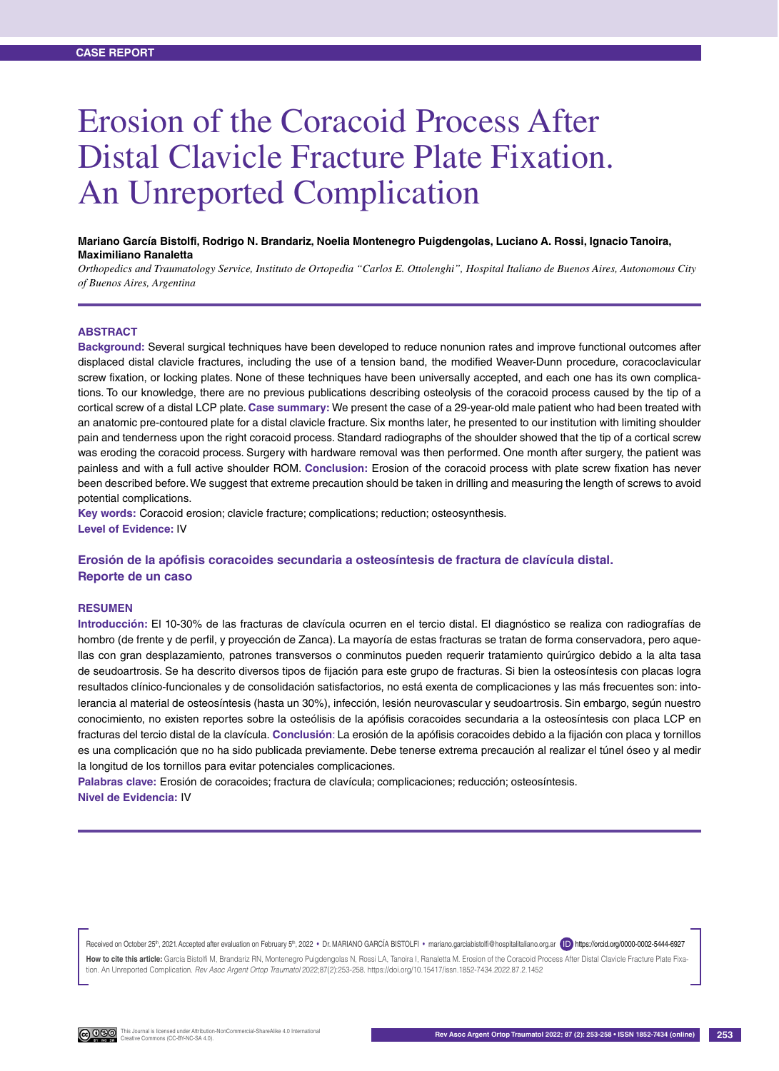# Erosion of the Coracoid Process After Distal Clavicle Fracture Plate Fixation. An Unreported Complication

#### **Mariano García Bistolfi, Rodrigo N. Brandariz, Noelia Montenegro Puigdengolas, Luciano A. Rossi, Ignacio Tanoira, Maximiliano Ranaletta**

*Orthopedics and Traumatology Service, Instituto de Ortopedia "Carlos E. Ottolenghi", Hospital Italiano de Buenos Aires, Autonomous City of Buenos Aires, Argentina*

#### **ABSTRACT**

**Background:** Several surgical techniques have been developed to reduce nonunion rates and improve functional outcomes after displaced distal clavicle fractures, including the use of a tension band, the modified Weaver-Dunn procedure, coracoclavicular screw fixation, or locking plates. None of these techniques have been universally accepted, and each one has its own complications. To our knowledge, there are no previous publications describing osteolysis of the coracoid process caused by the tip of a cortical screw of a distal LCP plate. **Case summary:** We present the case of a 29-year-old male patient who had been treated with an anatomic pre-contoured plate for a distal clavicle fracture. Six months later, he presented to our institution with limiting shoulder pain and tenderness upon the right coracoid process. Standard radiographs of the shoulder showed that the tip of a cortical screw was eroding the coracoid process. Surgery with hardware removal was then performed. One month after surgery, the patient was painless and with a full active shoulder ROM. **Conclusion:** Erosion of the coracoid process with plate screw fixation has never been described before. We suggest that extreme precaution should be taken in drilling and measuring the length of screws to avoid potential complications.

**Key words:** Coracoid erosion; clavicle fracture; complications; reduction; osteosynthesis.

**Level of Evidence:** IV

## **Erosión de la apófisis coracoides secundaria a osteosíntesis de fractura de clavícula distal. Reporte de un caso**

#### **RESUMEN**

**Introducción:** El 10-30% de las fracturas de clavícula ocurren en el tercio distal. El diagnóstico se realiza con radiografías de hombro (de frente y de perfil, y proyección de Zanca). La mayoría de estas fracturas se tratan de forma conservadora, pero aquellas con gran desplazamiento, patrones transversos o conminutos pueden requerir tratamiento quirúrgico debido a la alta tasa de seudoartrosis. Se ha descrito diversos tipos de fijación para este grupo de fracturas. Si bien la osteosíntesis con placas logra resultados clínico-funcionales y de consolidación satisfactorios, no está exenta de complicaciones y las más frecuentes son: intolerancia al material de osteosíntesis (hasta un 30%), infección, lesión neurovascular y seudoartrosis. Sin embargo, según nuestro conocimiento, no existen reportes sobre la osteólisis de la apófisis coracoides secundaria a la osteosíntesis con placa LCP en fracturas del tercio distal de la clavícula. **Conclusión**: La erosión de la apófisis coracoides debido a la fijación con placa y tornillos es una complicación que no ha sido publicada previamente. Debe tenerse extrema precaución al realizar el túnel óseo y al medir la longitud de los tornillos para evitar potenciales complicaciones.

**Palabras clave:** Erosión de coracoides; fractura de clavícula; complicaciones; reducción; osteosíntesis. **Nivel de Evidencia:** IV

Received on October 25<sup>th</sup>, 2021. Accepted after evaluation on February 5<sup>th</sup>, 2022 • Dr. MARIANO GARCIA BISTOLFI • mariano.garciabistolfi@hospitalitaliano.org.ar (ID) https://orcid.org/0000-0002-5444-6927

How to cite this article: García Bistolfi M, Brandariz RN, Montenegro Puigdengolas N, Rossi LA, Tanoira I, Ranaletta M. Erosion of the Coracoid Process After Distal Clavicle Fracture Plate Fixation. An Unreported Complication. *Rev Asoc Argent Ortop Traumatol* 2022;87(2):253-258. https://doi.org/10.15417/issn.1852-7434.2022.87.2.1452

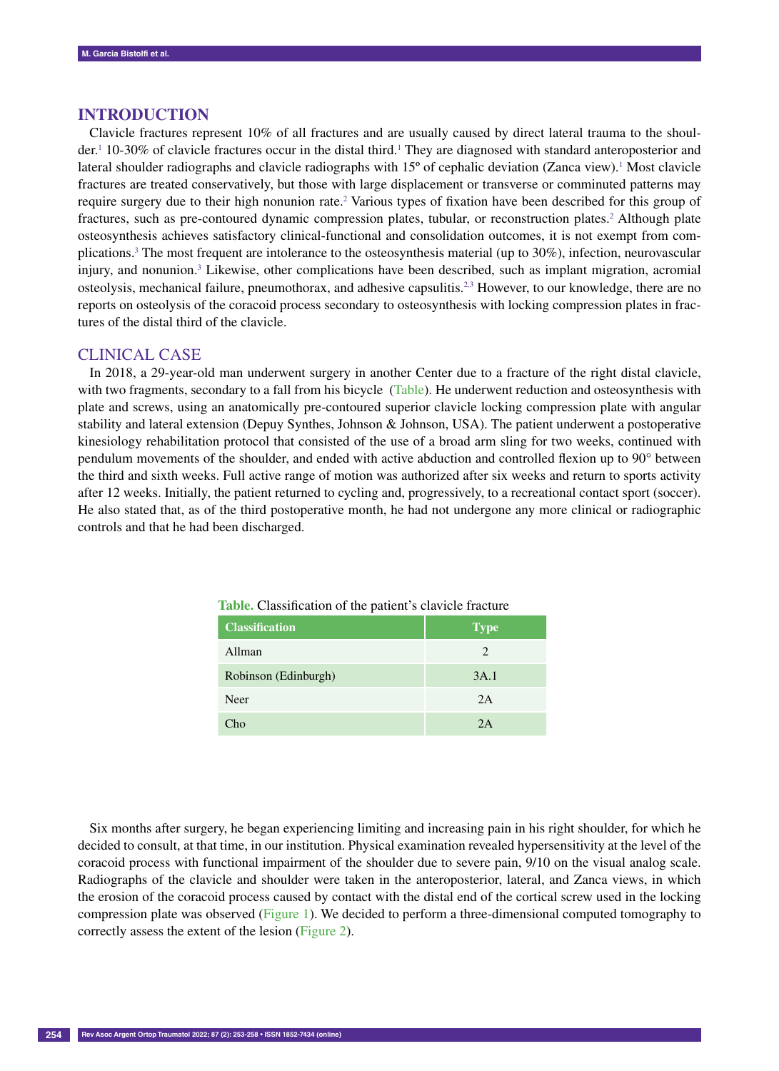#### **INTRODUCTION**

Clavicle fractures represent 10% of all fractures and are usually caused by direct lateral trauma to the shoulder.<sup>1</sup> 10-30% of clavicle fractures occur in the distal third.<sup>1</sup> They are diagnosed with standard anteroposterior and lateral shoulder radiographs and clavicle radiographs with  $15^{\circ}$  of cephalic deviation (Zanca view).<sup>1</sup> Most clavicle fractures are treated conservatively, but those with large displacement or transverse or comminuted patterns may require surgery due to their high nonunion rate.<sup>2</sup> Various types of fixation have been described for this group of fractures, such as pre-contoured dynamic compression plates, tubular, or reconstruction plates.<sup>2</sup> Although plate osteosynthesis achieves satisfactory clinical-functional and consolidation outcomes, it is not exempt from complications.3 The most frequent are intolerance to the osteosynthesis material (up to 30%), infection, neurovascular injury, and nonunion.<sup>3</sup> Likewise, other complications have been described, such as implant migration, acromial osteolysis, mechanical failure, pneumothorax, and adhesive capsulitis.<sup>2,3</sup> However, to our knowledge, there are no reports on osteolysis of the coracoid process secondary to osteosynthesis with locking compression plates in fractures of the distal third of the clavicle.

## CLINICAL CASE

In 2018, a 29-year-old man underwent surgery in another Center due to a fracture of the right distal clavicle, with two fragments, secondary to a fall from his bicycle (Table). He underwent reduction and osteosynthesis with plate and screws, using an anatomically pre-contoured superior clavicle locking compression plate with angular stability and lateral extension (Depuy Synthes, Johnson & Johnson, USA). The patient underwent a postoperative kinesiology rehabilitation protocol that consisted of the use of a broad arm sling for two weeks, continued with pendulum movements of the shoulder, and ended with active abduction and controlled flexion up to 90° between the third and sixth weeks. Full active range of motion was authorized after six weeks and return to sports activity after 12 weeks. Initially, the patient returned to cycling and, progressively, to a recreational contact sport (soccer). He also stated that, as of the third postoperative month, he had not undergone any more clinical or radiographic controls and that he had been discharged.

| <b>Classification</b> | <b>Type</b> |
|-----------------------|-------------|
| Allman                | 2           |
| Robinson (Edinburgh)  | 3A.1        |
| Neer                  | 2A          |
| Cho                   | 2A          |

**Table.** Classification of the patient's clavicle fracture

Six months after surgery, he began experiencing limiting and increasing pain in his right shoulder, for which he decided to consult, at that time, in our institution. Physical examination revealed hypersensitivity at the level of the coracoid process with functional impairment of the shoulder due to severe pain, 9/10 on the visual analog scale. Radiographs of the clavicle and shoulder were taken in the anteroposterior, lateral, and Zanca views, in which the erosion of the coracoid process caused by contact with the distal end of the cortical screw used in the locking compression plate was observed (Figure 1). We decided to perform a three-dimensional computed tomography to correctly assess the extent of the lesion (Figure 2).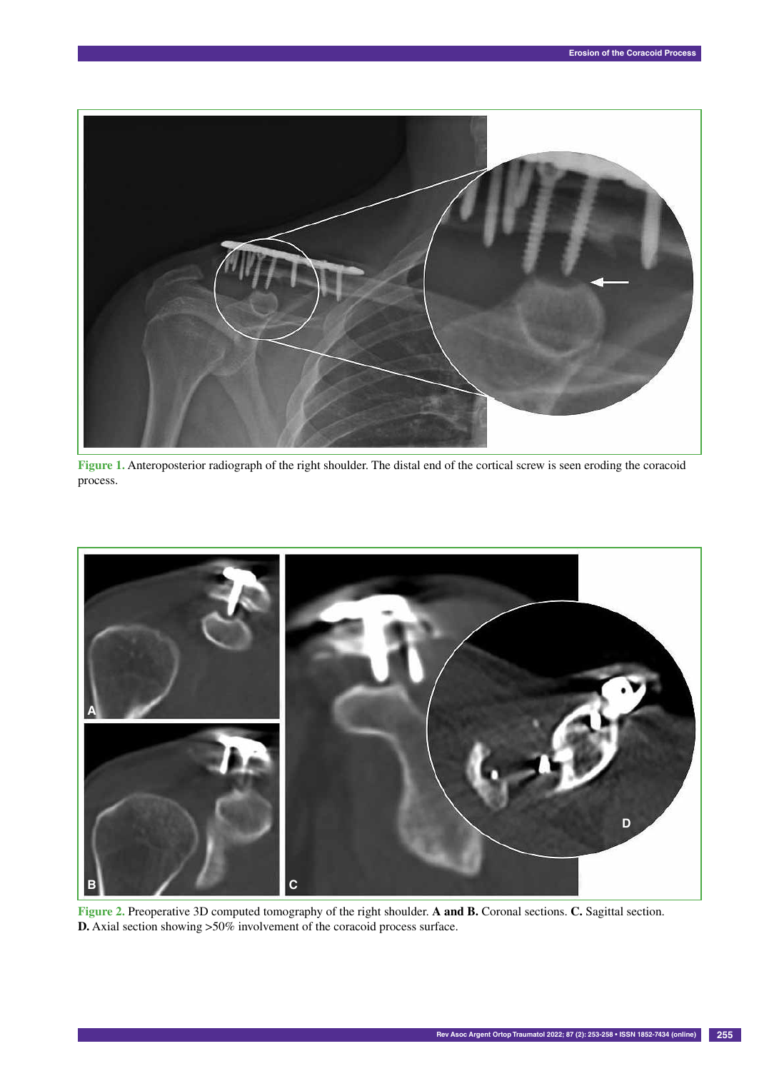

**Figure 1.** Anteroposterior radiograph of the right shoulder. The distal end of the cortical screw is seen eroding the coracoid process.



**Figure 2.** Preoperative 3D computed tomography of the right shoulder. **A and B.** Coronal sections. **C.** Sagittal section. **D.** Axial section showing >50% involvement of the coracoid process surface.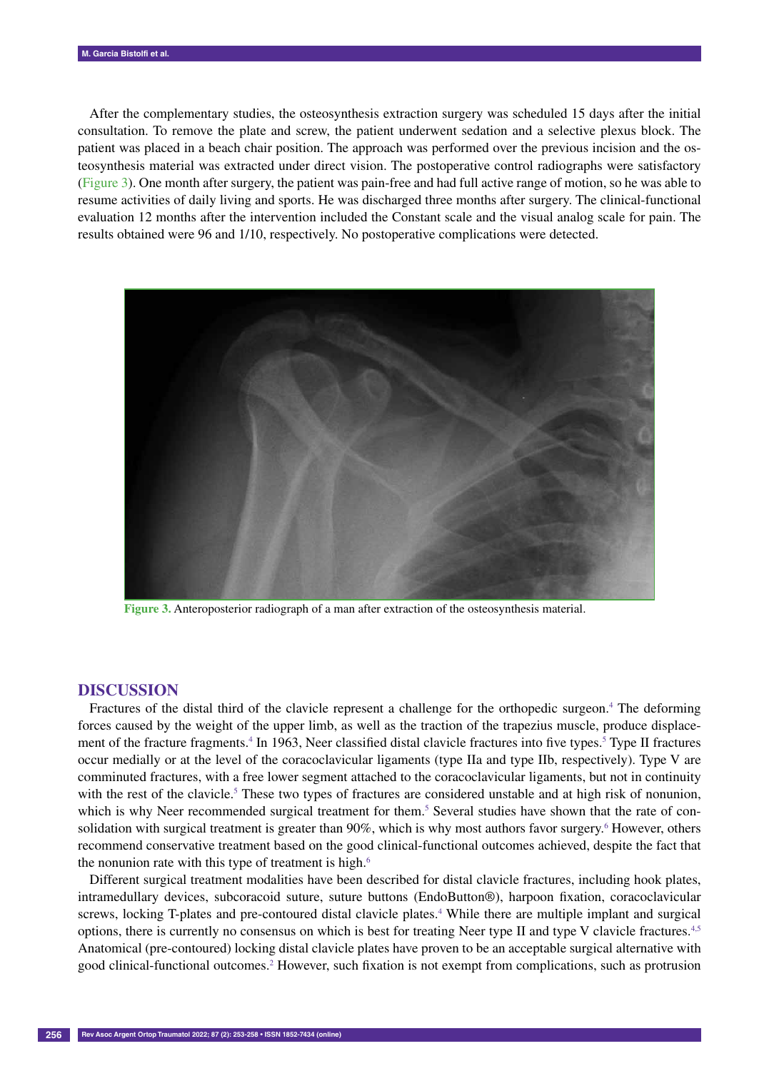After the complementary studies, the osteosynthesis extraction surgery was scheduled 15 days after the initial consultation. To remove the plate and screw, the patient underwent sedation and a selective plexus block. The patient was placed in a beach chair position. The approach was performed over the previous incision and the osteosynthesis material was extracted under direct vision. The postoperative control radiographs were satisfactory (Figure 3). One month after surgery, the patient was pain-free and had full active range of motion, so he was able to resume activities of daily living and sports. He was discharged three months after surgery. The clinical-functional evaluation 12 months after the intervention included the Constant scale and the visual analog scale for pain. The results obtained were 96 and 1/10, respectively. No postoperative complications were detected.



**Figure 3.** Anteroposterior radiograph of a man after extraction of the osteosynthesis material.

## **DISCUSSION**

Fractures of the distal third of the clavicle represent a challenge for the orthopedic surgeon.<sup>4</sup> The deforming forces caused by the weight of the upper limb, as well as the traction of the trapezius muscle, produce displacement of the fracture fragments.<sup>4</sup> In 1963, Neer classified distal clavicle fractures into five types.<sup>5</sup> Type II fractures occur medially or at the level of the coracoclavicular ligaments (type IIa and type IIb, respectively). Type V are comminuted fractures, with a free lower segment attached to the coracoclavicular ligaments, but not in continuity with the rest of the clavicle.<sup>5</sup> These two types of fractures are considered unstable and at high risk of nonunion, which is why Neer recommended surgical treatment for them.<sup>5</sup> Several studies have shown that the rate of consolidation with surgical treatment is greater than 90%, which is why most authors favor surgery.<sup>6</sup> However, others recommend conservative treatment based on the good clinical-functional outcomes achieved, despite the fact that the nonunion rate with this type of treatment is high.<sup>6</sup>

Different surgical treatment modalities have been described for distal clavicle fractures, including hook plates, intramedullary devices, subcoracoid suture, suture buttons (EndoButton®), harpoon fixation, coracoclavicular screws, locking T-plates and pre-contoured distal clavicle plates.<sup>4</sup> While there are multiple implant and surgical options, there is currently no consensus on which is best for treating Neer type II and type V clavicle fractures.4,5 Anatomical (pre-contoured) locking distal clavicle plates have proven to be an acceptable surgical alternative with good clinical-functional outcomes.2 However, such fixation is not exempt from complications, such as protrusion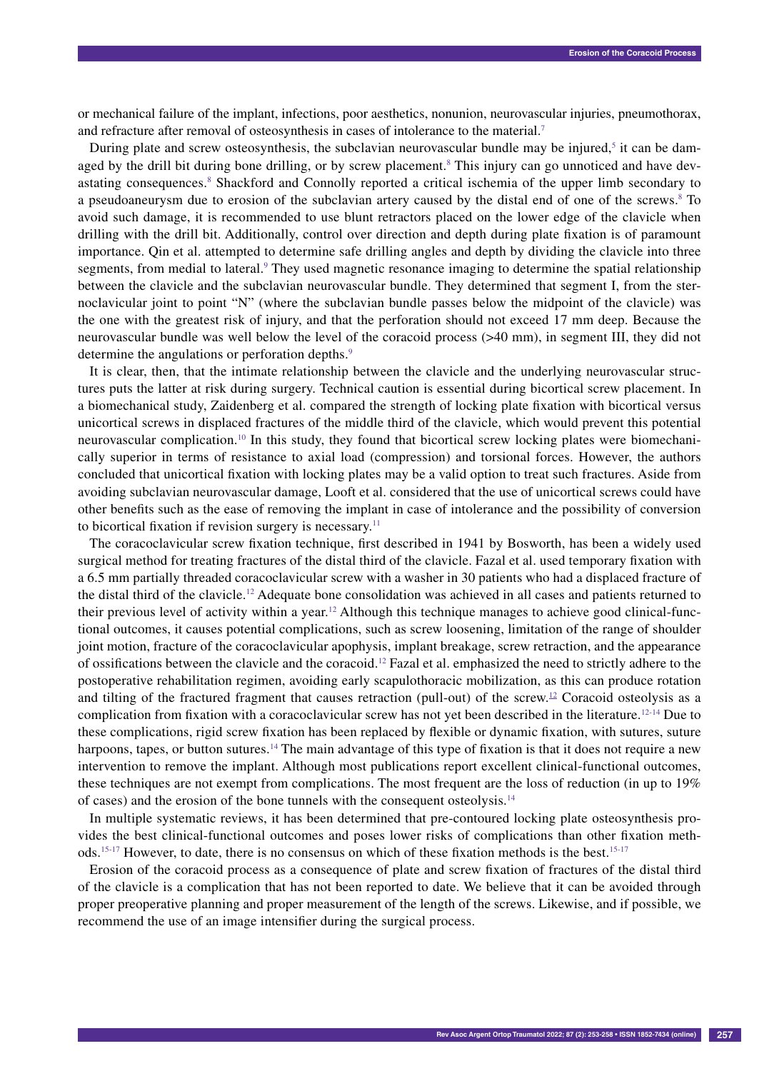or mechanical failure of the implant, infections, poor aesthetics, nonunion, neurovascular injuries, pneumothorax, and refracture after removal of osteosynthesis in cases of intolerance to the material.7

During plate and screw osteosynthesis, the subclavian neurovascular bundle may be injured,<sup>5</sup> it can be damaged by the drill bit during bone drilling, or by screw placement.<sup>8</sup> This injury can go unnoticed and have devastating consequences.<sup>8</sup> Shackford and Connolly reported a critical ischemia of the upper limb secondary to a pseudoaneurysm due to erosion of the subclavian artery caused by the distal end of one of the screws.<sup>8</sup> To avoid such damage, it is recommended to use blunt retractors placed on the lower edge of the clavicle when drilling with the drill bit. Additionally, control over direction and depth during plate fixation is of paramount importance. Qin et al. attempted to determine safe drilling angles and depth by dividing the clavicle into three segments, from medial to lateral.<sup>9</sup> They used magnetic resonance imaging to determine the spatial relationship between the clavicle and the subclavian neurovascular bundle. They determined that segment I, from the sternoclavicular joint to point "N" (where the subclavian bundle passes below the midpoint of the clavicle) was the one with the greatest risk of injury, and that the perforation should not exceed 17 mm deep. Because the neurovascular bundle was well below the level of the coracoid process (>40 mm), in segment III, they did not determine the angulations or perforation depths.<sup>9</sup>

It is clear, then, that the intimate relationship between the clavicle and the underlying neurovascular structures puts the latter at risk during surgery. Technical caution is essential during bicortical screw placement. In a biomechanical study, Zaidenberg et al. compared the strength of locking plate fixation with bicortical versus unicortical screws in displaced fractures of the middle third of the clavicle, which would prevent this potential neurovascular complication.10 In this study, they found that bicortical screw locking plates were biomechanically superior in terms of resistance to axial load (compression) and torsional forces. However, the authors concluded that unicortical fixation with locking plates may be a valid option to treat such fractures. Aside from avoiding subclavian neurovascular damage, Looft et al. considered that the use of unicortical screws could have other benefits such as the ease of removing the implant in case of intolerance and the possibility of conversion to bicortical fixation if revision surgery is necessary.<sup>11</sup>

The coracoclavicular screw fixation technique, first described in 1941 by Bosworth, has been a widely used surgical method for treating fractures of the distal third of the clavicle. Fazal et al. used temporary fixation with a 6.5 mm partially threaded coracoclavicular screw with a washer in 30 patients who had a displaced fracture of the distal third of the clavicle.12 Adequate bone consolidation was achieved in all cases and patients returned to their previous level of activity within a year.<sup>12</sup> Although this technique manages to achieve good clinical-functional outcomes, it causes potential complications, such as screw loosening, limitation of the range of shoulder joint motion, fracture of the coracoclavicular apophysis, implant breakage, screw retraction, and the appearance of ossifications between the clavicle and the coracoid.12 Fazal et al. emphasized the need to strictly adhere to the postoperative rehabilitation regimen, avoiding early scapulothoracic mobilization, as this can produce rotation and tilting of the fractured fragment that causes retraction (pull-out) of the screw.<sup>12</sup> Coracoid osteolysis as a complication from fixation with a coracoclavicular screw has not yet been described in the literature.12-14 Due to these complications, rigid screw fixation has been replaced by flexible or dynamic fixation, with sutures, suture harpoons, tapes, or button sutures.<sup>14</sup> The main advantage of this type of fixation is that it does not require a new intervention to remove the implant. Although most publications report excellent clinical-functional outcomes, these techniques are not exempt from complications. The most frequent are the loss of reduction (in up to 19% of cases) and the erosion of the bone tunnels with the consequent osteolysis.14

In multiple systematic reviews, it has been determined that pre-contoured locking plate osteosynthesis provides the best clinical-functional outcomes and poses lower risks of complications than other fixation methods.15-17 However, to date, there is no consensus on which of these fixation methods is the best.15-17

Erosion of the coracoid process as a consequence of plate and screw fixation of fractures of the distal third of the clavicle is a complication that has not been reported to date. We believe that it can be avoided through proper preoperative planning and proper measurement of the length of the screws. Likewise, and if possible, we recommend the use of an image intensifier during the surgical process.